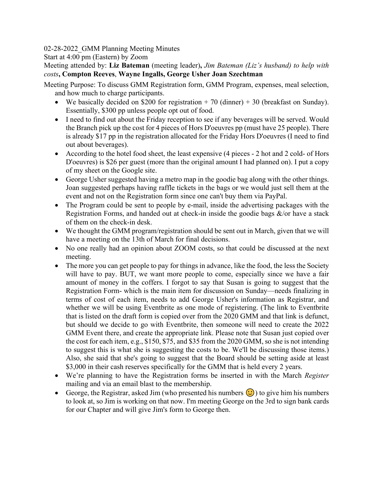02-28-2022\_GMM Planning Meeting Minutes

Start at 4:00 pm (Eastern) by Zoom

Meeting attended by: **Liz Bateman** (meeting leader)**,** *Jim Bateman (Liz's husband) to help with costs***, Compton Reeves**, **Wayne Ingalls, George Usher Joan Szechtman**

Meeting Purpose: To discuss GMM Registration form, GMM Program, expenses, meal selection, and how much to charge participants.

- We basically decided on \$200 for registration  $+ 70$  (dinner)  $+ 30$  (breakfast on Sunday). Essentially, \$300 pp unless people opt out of food.
- I need to find out about the Friday reception to see if any beverages will be served. Would the Branch pick up the cost for 4 pieces of Hors D'oeuvres pp (must have 25 people). There is already \$17 pp in the registration allocated for the Friday Hors D'oeuvres (I need to find out about beverages).
- According to the hotel food sheet, the least expensive (4 pieces 2 hot and 2 cold- of Hors D'oeuvres) is \$26 per guest (more than the original amount I had planned on). I put a copy of my sheet on the Google site.
- George Usher suggested having a metro map in the goodie bag along with the other things. Joan suggested perhaps having raffle tickets in the bags or we would just sell them at the event and not on the Registration form since one can't buy them via PayPal.
- The Program could be sent to people by e-mail, inside the advertising packages with the Registration Forms, and handed out at check-in inside the goodie bags  $\&$ /or have a stack of them on the check-in desk.
- We thought the GMM program/registration should be sent out in March, given that we will have a meeting on the 13th of March for final decisions.
- No one really had an opinion about ZOOM costs, so that could be discussed at the next meeting.
- The more you can get people to pay for things in advance, like the food, the less the Society will have to pay. BUT, we want more people to come, especially since we have a fair amount of money in the coffers. I forgot to say that Susan is going to suggest that the Registration Form- which is the main item for discussion on Sunday—needs finalizing in terms of cost of each item, needs to add George Usher's information as Registrar, and whether we will be using Eventbrite as one mode of registering. (The link to Eventbrite that is listed on the draft form is copied over from the 2020 GMM and that link is defunct, but should we decide to go with Eventbrite, then someone will need to create the 2022 GMM Event there, and create the appropriate link. Please note that Susan just copied over the cost for each item, e.g., \$150, \$75, and \$35 from the 2020 GMM, so she is not intending to suggest this is what she is suggesting the costs to be. We'll be discussing those items.) Also, she said that she's going to suggest that the Board should be setting aside at least \$3,000 in their cash reserves specifically for the GMM that is held every 2 years.
- We're planning to have the Registration forms be inserted in with the March *Register*  mailing and via an email blast to the membership.
- George, the Registrar, asked Jim (who presented his numbers  $\bigcirc$ ) to give him his numbers to look at, so Jim is working on that now. I'm meeting George on the 3rd to sign bank cards for our Chapter and will give Jim's form to George then.